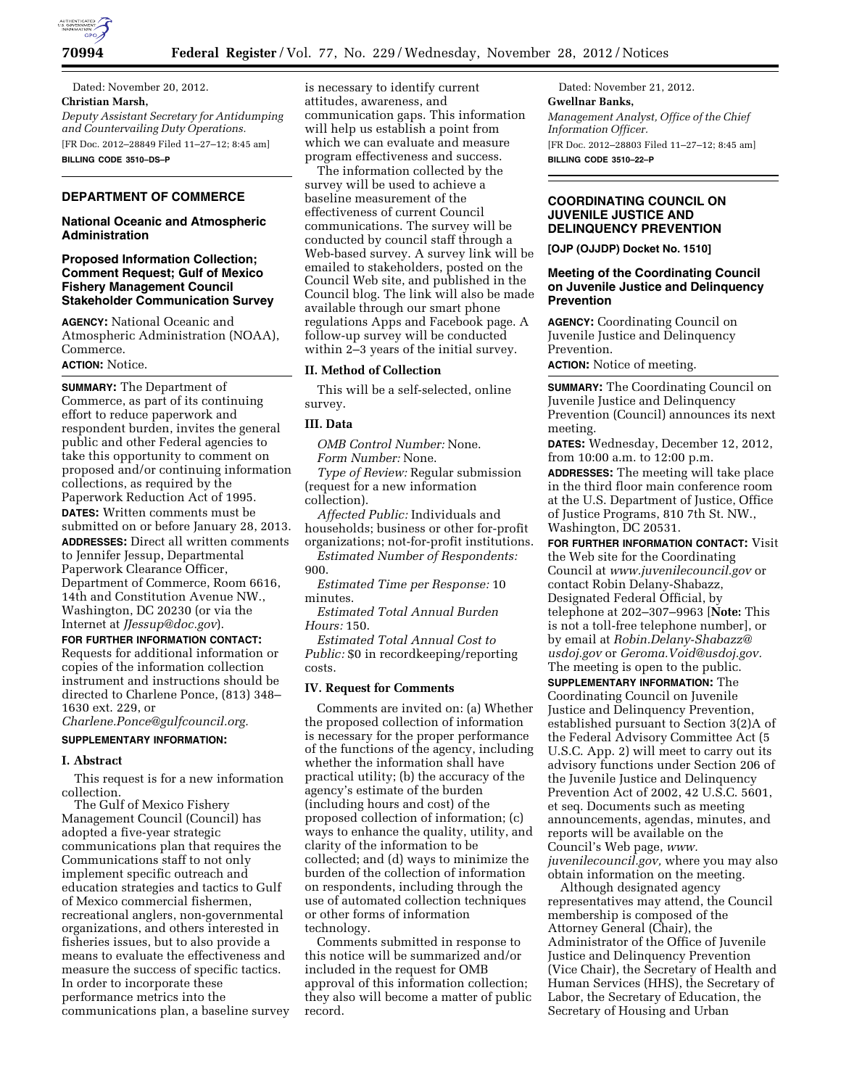

Dated: November 20, 2012. **Christian Marsh,**  *Deputy Assistant Secretary for Antidumping and Countervailing Duty Operations.*  [FR Doc. 2012–28849 Filed 11–27–12; 8:45 am] **BILLING CODE 3510–DS–P** 

# **DEPARTMENT OF COMMERCE**

### **National Oceanic and Atmospheric Administration**

# **Proposed Information Collection; Comment Request; Gulf of Mexico Fishery Management Council Stakeholder Communication Survey**

**AGENCY:** National Oceanic and Atmospheric Administration (NOAA), Commerce.

# **ACTION:** Notice.

**SUMMARY:** The Department of Commerce, as part of its continuing effort to reduce paperwork and respondent burden, invites the general public and other Federal agencies to take this opportunity to comment on proposed and/or continuing information collections, as required by the Paperwork Reduction Act of 1995. **DATES:** Written comments must be submitted on or before January 28, 2013. **ADDRESSES:** Direct all written comments to Jennifer Jessup, Departmental Paperwork Clearance Officer, Department of Commerce, Room 6616, 14th and Constitution Avenue NW., Washington, DC 20230 (or via the Internet at *[JJessup@doc.gov](mailto:JJessup@doc.gov)*).

**FOR FURTHER INFORMATION CONTACT:**  Requests for additional information or copies of the information collection instrument and instructions should be directed to Charlene Ponce, (813) 348– 1630 ext. 229, or

*[Charlene.Ponce@gulfcouncil.org.](mailto:Charlene.Ponce@gulfcouncil.org)* 

# **SUPPLEMENTARY INFORMATION:**

#### **I. Abstract**

This request is for a new information collection.

The Gulf of Mexico Fishery Management Council (Council) has adopted a five-year strategic communications plan that requires the Communications staff to not only implement specific outreach and education strategies and tactics to Gulf of Mexico commercial fishermen, recreational anglers, non-governmental organizations, and others interested in fisheries issues, but to also provide a means to evaluate the effectiveness and measure the success of specific tactics. In order to incorporate these performance metrics into the communications plan, a baseline survey

is necessary to identify current attitudes, awareness, and communication gaps. This information will help us establish a point from which we can evaluate and measure program effectiveness and success.

The information collected by the survey will be used to achieve a baseline measurement of the effectiveness of current Council communications. The survey will be conducted by council staff through a Web-based survey. A survey link will be emailed to stakeholders, posted on the Council Web site, and published in the Council blog. The link will also be made available through our smart phone regulations Apps and Facebook page. A follow-up survey will be conducted within 2–3 years of the initial survey.

# **II. Method of Collection**

This will be a self-selected, online survey.

### **III. Data**

*OMB Control Number:* None. *Form Number:* None. *Type of Review:* Regular submission (request for a new information

collection).

*Affected Public:* Individuals and households; business or other for-profit organizations; not-for-profit institutions.

*Estimated Number of Respondents:*  900.

*Estimated Time per Response:* 10 minutes.

*Estimated Total Annual Burden Hours:* 150.

*Estimated Total Annual Cost to Public:* \$0 in recordkeeping/reporting costs.

### **IV. Request for Comments**

Comments are invited on: (a) Whether the proposed collection of information is necessary for the proper performance of the functions of the agency, including whether the information shall have practical utility; (b) the accuracy of the agency's estimate of the burden (including hours and cost) of the proposed collection of information; (c) ways to enhance the quality, utility, and clarity of the information to be collected; and (d) ways to minimize the burden of the collection of information on respondents, including through the use of automated collection techniques or other forms of information technology.

Comments submitted in response to this notice will be summarized and/or included in the request for OMB approval of this information collection; they also will become a matter of public record.

Dated: November 21, 2012. **Gwellnar Banks,**  *Management Analyst, Office of the Chief Information Officer.*  [FR Doc. 2012–28803 Filed 11–27–12; 8:45 am] **BILLING CODE 3510–22–P** 

# **COORDINATING COUNCIL ON JUVENILE JUSTICE AND DELINQUENCY PREVENTION**

**[OJP (OJJDP) Docket No. 1510]** 

## **Meeting of the Coordinating Council on Juvenile Justice and Delinquency Prevention**

**AGENCY:** Coordinating Council on Juvenile Justice and Delinquency Prevention.

**ACTION:** Notice of meeting.

**SUMMARY:** The Coordinating Council on Juvenile Justice and Delinquency Prevention (Council) announces its next meeting.

**DATES:** Wednesday, December 12, 2012, from 10:00 a.m. to 12:00 p.m.

**ADDRESSES:** The meeting will take place in the third floor main conference room at the U.S. Department of Justice, Office of Justice Programs, 810 7th St. NW., Washington, DC 20531.

**FOR FURTHER INFORMATION CONTACT:** Visit the Web site for the Coordinating Council at *[www.juvenilecouncil.gov](http://www.juvenilecouncil.gov)* or contact Robin Delany-Shabazz, Designated Federal Official, by telephone at 202–307–9963 [**Note:** This is not a toll-free telephone number], or by email at *[Robin.Delany-Shabazz@](mailto:Robin.Delany-Shabazz@usdoj.gov) [usdoj.gov](mailto:Robin.Delany-Shabazz@usdoj.gov)* or *[Geroma.Void@usdoj.gov.](mailto:Geroma.Void@usdoj.gov)*  The meeting is open to the public.

**SUPPLEMENTARY INFORMATION:** The Coordinating Council on Juvenile Justice and Delinquency Prevention, established pursuant to Section 3(2)A of the Federal Advisory Committee Act (5 U.S.C. App. 2) will meet to carry out its advisory functions under Section 206 of the Juvenile Justice and Delinquency Prevention Act of 2002, 42 U.S.C. 5601, et seq. Documents such as meeting announcements, agendas, minutes, and reports will be available on the Council's Web page, *[www.](http://www.juvenilecouncil.gov) [juvenilecouncil.gov,](http://www.juvenilecouncil.gov)* where you may also obtain information on the meeting.

Although designated agency representatives may attend, the Council membership is composed of the Attorney General (Chair), the Administrator of the Office of Juvenile Justice and Delinquency Prevention (Vice Chair), the Secretary of Health and Human Services (HHS), the Secretary of Labor, the Secretary of Education, the Secretary of Housing and Urban